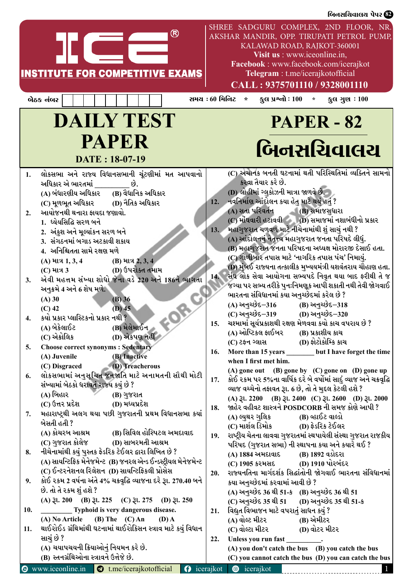| ®<br><b>INSTITUTE FOR COMPETITIVE EXAMS</b>                                                                                                                                                                                                                                                                                                                                                  | SHREE SADGURU COMPLEX, 2ND FLOOR, NR.<br>AKSHAR MANDIR, OPP. TIRUPATI PETROL PUMP,<br>KALAWAD ROAD, RAJKOT-360001<br>Visit us : www.iceonline.in,<br>Facebook: www.facebook.com/icerajkot<br>Telegram : t.me/icerajkotofficial<br>CALL: 9375701110 / 9328001110                                                                                                                                                                                                                                 |
|----------------------------------------------------------------------------------------------------------------------------------------------------------------------------------------------------------------------------------------------------------------------------------------------------------------------------------------------------------------------------------------------|-------------------------------------------------------------------------------------------------------------------------------------------------------------------------------------------------------------------------------------------------------------------------------------------------------------------------------------------------------------------------------------------------------------------------------------------------------------------------------------------------|
| બેઠક નંબર                                                                                                                                                                                                                                                                                                                                                                                    | સમય : 60 મિનિટ<br>કુલ પ્રશ્નો : $100 *$<br>$\star$<br><b>ફુલ ગુણ : 100</b>                                                                                                                                                                                                                                                                                                                                                                                                                      |
| <b>DAILY TEST</b><br><b>PAPER</b><br>DATE: 18-07-19                                                                                                                                                                                                                                                                                                                                          | <b>PAPER - 82</b><br>બિનસચિવાલચ                                                                                                                                                                                                                                                                                                                                                                                                                                                                 |
| લોકસભા અને રાજ્ય વિધાનસભાની ચૂંટણીમાં મત આપવાનો<br>1.<br>અધિકાર એ ભારતમાં _________ છે.<br>(A) બંધારણીય અધિકાર      (B) વૈધાનિક અધિકાર<br>(C) મૂળભૂત અધિકાર          (D) નૈતિક અધિકાર<br>આયોજનથી થનારા ફાયદા જણાવો.<br>2.<br>1. ધ્યેયસિદ્ધિ સરળ બને<br>2. અંકુશ અને મૂલ્યાંકન સરળ બને<br>3. સંગઠનમાં બગાડ અટકાવી શકાય<br>4. અનિશ્ચિતતા સામે રક્ષણ મળે<br>(A) માત્ર 1, 3, 4 (B) માત્ર 2, 3, 4 | (C) અચાનક બનતી ઘટનામાં થતી પરિસ્થિતિમાં વ્યક્તિને સામનો<br>કરવા તૈયાર કરે છે.<br>(D) લોહીમાં ગ્લુકોઝની માત્રા જાળવે છે.<br>12. નવનિર્માણ આંદોલન કયા હેતુ માટે થયું હતું ?<br>(A) સતા પરિવર્તન (B) સમાજસુધારા<br>(C) મોંઘવારી હટાવવી (D) સમાજમાં નશાબંધીનો પ્રકાર<br>મહાગુજરાત ચળવળ માટે નીચેનામાંથી શું સાચું નથી ?<br>13.<br>(A) આંદોલનનું નેતૃત્ત્વ મહાગુજરાત જનતા પરિષદે લીધું.<br>(B) મહાગુજરાત જનતા પરિષદના અધ્યક્ષ મોરારજી દેસાઈ હતા.<br>(C) ગોળીબાર તપાસ માટે 'નાગરિક તપાસ પંચ' નિમાયું. |
| $(C)$ માત્ર $3$ $(D)$ ઉપરોક્ત તમામ<br>એવી મહત્તમ સંખ્યા શોધો જેના વડે 220 અને 186ને ભાગતા<br>3.<br>અનુક્રમે 4 અને 6 શેષ મળે.<br>$(B)$ 36<br>$(A)$ 30<br>$(D)$ 45<br>$(C)$ 42                                                                                                                                                                                                                 | (D) મુંબઈ રાજ્યના તત્કાલીક મુખ્યયમંત્રી યશવંતરાય ચૌહાણ હતા.<br>સંઘ લોક સેવા આયોગના સભ્યપદે નિવૃત થયા બાદ ફરીથી તે જ<br>14.<br>જગ્યા પર સભ્ય તરીકે પુન:નિમણૂક આપી શકાતી નથી તેવી જોગવાઈ<br>ભારતના સંવિધાનમાં કયા અનુચ્છેદમાં કરેલ છે ?<br>(A) અનુચ્છેદ <i>−</i> 316<br>(B) અનુચ્છેદ–318<br>(C) અનુચ્છેદ–319 (D) અનુચ્છેદ–320                                                                                                                                                                     |
| કયો પ્રકાર પ્લાસ્ટિકનો પ્રકાર નથી ?<br>4.<br>(B) મેલેમાઈન<br>(A) બેકેલાઈટ<br>(C) એક્રોલિક<br>(D) એકપણ નહીં                                                                                                                                                                                                                                                                                   | ચશ્મામાં સૂર્યપ્રકાશથી રક્ષણ મેળવવા કયો કાચ વપરાય છે ?<br>15.<br>(A) ઓપ્ટિકલ ફાઈબર         (B) પ્રકાશીય કાચ<br>(D) ફોટોકોમ્કિ કાચ                                                                                                                                                                                                                                                                                                                                                               |
| <b>Choose correct synonyms : Sedentary</b><br>5.<br>(B) Inactive<br>(A) Juvenile<br>(D) Treacherous<br>(C) Disgraced                                                                                                                                                                                                                                                                         | (C) ટફન ગ્લાસ<br>More than 15 years but I have forget the time<br>16.<br>when I first met him.                                                                                                                                                                                                                                                                                                                                                                                                  |
| લોકસભામાં અનુસૂચિત જનજાતિ માટે અનામતની સૌથી મોટી<br>6.<br>સંખ્યામાં બેઠકો ધરાવતું રાજ્ય કયું છે ?<br>(A) બિહાર<br>(B) ગુજરાત                                                                                                                                                                                                                                                                 | (A) gone out (B) gone by $(C)$ gone on $(D)$ gone up<br>કોઈ રકમ પર 5%ના વાર્ષિક દરે બે વર્ષોમાં સાદું વ્યાજ અને ચક્રવૃદ્ધિ<br>17.<br>વ્યાજ વચ્ચેનો તફાવત રૂા. 6 છે, તો તે મુદ્દલ કેટલી હશે ?<br>(A) 31. 2200 (B) 31. 2400 (C) 31. 2600 (D) 31. 2000                                                                                                                                                                                                                                             |
| (C) ઉત્તર પ્રદેશ<br>(D) મધ્યપ્રદેશ<br>મહારાષ્ટ્રથી અલગ થયા પછી ગુજરાતની પ્રથમ વિધાનસભા કયાં<br>7.<br>બેસતી હતી ?<br>(A) કોચરબ આશ્રમ             (B) સિવિલ હોસ્પિટલ અમદાવાદ                                                                                                                                                                                                                   | જાહેર વહીવટ શાસ્ત્રને POSDCORB ની સમજ કોણે આપી ?<br>18.<br>(B) વ્હાઈટ વાલ્ડો<br>(A) લ્યથર ગલિક<br>રાષ્ટ્રીય ચેતના લાવવા ગુજરાતમાં સ્થપાયેલી સંસ્થા ગુજરાત રાજકીય<br><b>19.</b>                                                                                                                                                                                                                                                                                                                  |
| નીચેનામાંથી કયું પુસ્તક ફેડરિક ટેઈલર દ્વારા લિખિત છે ?<br>8.<br>(A) સાયન્ટિફિક મેનેજમેન્ટ (B) જનરલ એન્ડ ઈન્ડસ્ટ્રીયલ મેનેજમેન્ટ<br>(C) ઈન્ટરનેશનલ રિલેશન (D) સાયન્ટિફિકલી પ્રોસેસ                                                                                                                                                                                                            | પરિષદ (ગુજરાત સભા) ની સ્થાપના કયા અને કયારે થઈ ?<br>(B) 1892 વડોદરા<br>(A) 1884 અમદાવાદ<br>(C) 1905 કરમસદ (D) 1910 પોરબંદર<br>રાજ્યનતિના માર્ગદર્શક સિદ્ધાંતોની જોગવાઈ ભારતના સંવિધાનમાં<br>20.                                                                                                                                                                                                                                                                                                 |
| કોઈ રકમ 2 વર્ષના અંતે 4% ચક્રવૃદ્ધિ વ્યાજના દરે રૂા. 270.40 બને<br>9.<br>છે. તો તે રકમ શું હશે ?<br>(A) $3l. 200$ (B) $3l. 225$ (C) $3l. 275$ (D) $3l. 250$<br>Typhoid is very dangerous disease.<br>10.                                                                                                                                                                                     | કયા અનુચ્છેદમાં કરવામાં આવી છે ?<br>(A) અનુચ્છેદ 36 થી 51-ક (B) અનુચ્છેદ 36 થી 51<br>(C) અનુચ્છેદ 35 થી 51<br>(D) અનુચ્છેદ 35 થી 51-ક<br>વિદ્યુત વિભાજન માટે વપરાતું સાધન કયું ?<br>21.                                                                                                                                                                                                                                                                                                         |
| (A) No Article<br>(B) The $(C)$ An<br>$(D)$ A<br>થાઈરોઈડ ગ્રંથિમાંથી ઘટનામાં થાઈરોકિસન સ્ત્રાવ માટે કયું વિધાન<br>11.<br>સાચું છે ?<br>(A) ચયાપચયની ક્રિયાઓનું નિયમન કરે છે.                                                                                                                                                                                                                 | (A) વોલ્ટ મીટર<br>(B) એમીટર<br>(C) વોલ્ટા મીટર<br>(D) વોટર મીટર<br>Unless you run fast .<br>22.<br>(A) you don't catch the bus (B) you catch the bus                                                                                                                                                                                                                                                                                                                                            |
| (B) સ્તનગ્રંથિઓના સ્ત્રાવને ઉત્તેજે છે.<br><b>③</b> www.iceonline.in <b>③</b> t.me/icerajkotofficial<br>$\theta$ icerajkot                                                                                                                                                                                                                                                                   | (C) you cannot catch the bus (D) you can catch the bus<br><b>@</b> icerajkot                                                                                                                                                                                                                                                                                                                                                                                                                    |

બિનસચિવાલચ પેપર **છે**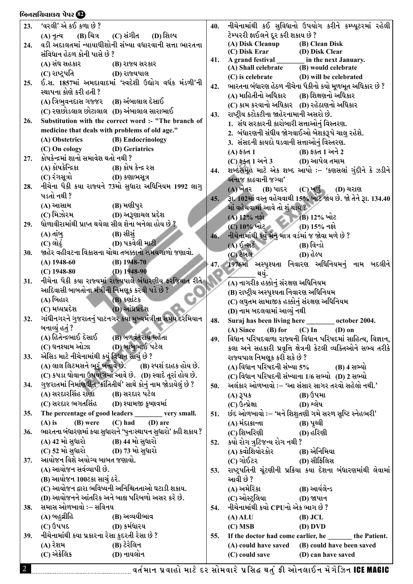#### બિનસચિવાલચ પેપર **છે?**

| 23. | 'વરલી' એ કઈ કળા છે ?                                              | 40. | નીચેનામાંથી કઈ સુવિધાનો ઉપયોગ કરીને કમ્પ્યૂટરમાં રહેલી         |
|-----|-------------------------------------------------------------------|-----|----------------------------------------------------------------|
|     | (C) સંગીત (D) શિલ્પ<br>$(A)$ નૃત્ય $(B)$ ચિત્ર                    |     | ટેમ્પરરી ફાઈલને દૂર કરી શકાય છે ?                              |
| 24. | વડી અદાલતમાં ન્યાયાધીશોની સંખ્યા વધારવાની સત્તા ભારતના            |     | (A) Disk Cleanup<br>(B) Clean Disk                             |
|     | સંવિધાન હેઠળ કોની પાસે છે ?                                       |     |                                                                |
|     | (A) સંઘ સહકાર<br>(B) રાજ્ય સરકાર                                  | 41. |                                                                |
|     | (C) રાષ્ટ્રપતિ<br>(D) રાજ્યપાલ                                    |     | $(C)$ is celebrate<br>(D) will be celebrated                   |
| 25. | ઈ.સ. 1857માં અમદાવાદમાં 'સ્વદેશી ઉદ્યોગ વર્ધક મંડળી'ની            | 42. | ભારતના બંધારણ હેઠળ નીચેના પૈકીનો કયો મૂળભૂત અધિકાર છે ?        |
|     | સ્થાપના કોણે કરી હતી ?                                            |     | (A) માહિતીનો અધિકાર<br>(B) શિક્ષણનો અધિકાર                     |
|     | (A) ત્રિભુવનદાસ ગજ્જર (B) અંબાલાલ દેસાઈ                           |     |                                                                |
|     | (C) રણછોડલાલ છોટાલાલ (D) અંબાલાલ સારાભાઈ                          |     | (C) કામ કરવાનો અધિકાર (D) રહેઠાણનો અધિકાર                      |
| 26. | Substitution with the correct word :- "The branch of              | 43. | રાષ્ટ્રીય કટોકટીના જાહેરનામાની અસરો છે.                        |
|     | medicine that deals with problems of old age."                    |     | 1. સંઘ સરકારની કારોબારી સત્તાઓનું વિસ્તરણ.                     |
|     | (A) Obstetrics<br>(B) Endocrinology                               |     | 2.  બંધારણની સંધીય જોગવાઈઓ બેશકરૂપે ચાલુ રહેશે.                |
|     | (C) On cology (D) Geriatrics                                      |     | 3.  સંસદની કાયદો ઘડવાની સત્તાઓનું વિસ્તરણ.                     |
|     | કોષકેન્દ્રમાં શાનો સમાવેશ થતો નથી ?                               |     | (B) ફક્ત 1 અને 2<br>(A) ફક્ત 1                                 |
| 27. | (A) કોષકેન્દ્રિકા                                                 |     | (C) ફક્ત 1 અને 3 (D) આપેલ તમામ                                 |
|     | (B) કોષ કેન્દ્ર રસ                                                | 44. | શબ્દસમૂહ માટે એક શબ્દ આપો :– 'કણસલાં ગુંદીને કે ઝડીને          |
|     | (C) રંગસૂત્રો<br>(D) કણાભસૂત્ર                                    |     | અનાજ કાઢવાની જગ્યા'                                            |
| 28. | નીચેના પૈકી કયા રાજ્યને 73મો સુધારા અધિનિયમ 1992 લાગુ             |     | $(C)$ ખળું<br>(A) ખેતર (B) પાદર<br><b>(D)</b> ચરાણ             |
|     | પડતો નથી ?                                                        | 45. | રૂા. 102માં વસ્તુ વહેચવાથી 15% ખોટ જાય છે. જો તેને રૂા. 134.40 |
|     | (A) આસામ<br>(B) મણીપુર                                            |     | માં વહેચવામાં આવે તો <u>શ</u> થાય ?                            |
|     |                                                                   |     | $(A)$ $12\%$ નફો<br>$(B)$ 12% ખોટ                              |
| 29. | ધોળાવીરામાંથી પ્રાપ્ત થયેલા સીલ શેના બનેલા હોય છે ?               |     | $(C)$ 10% ખોટ<br><b>D</b> ) 15% નફો                            |
|     | (A) તાંબુ<br>(B) સીસું                                            | 46. | નીચેનામાંથી કયું મેનુ માત્ર વર્ડમાં જ જોવા મળે છે ?            |
|     | (D) પકવેલી માટી<br>$(C)$ લોઢું                                    |     | $(A)$ $\delta$ -સર્ટ<br>$(B)$ વિન્ડો                           |
| 30. | જાહેર વહીવટના વિકાસના ચોથા તબક્કાનો સમયગાળો જણાવો.                |     | (C) ટેબલ<br>(D) હેલ્પ                                          |
|     | $(B)$ 1948-70<br>$(A)$ 1948-60                                    | 47. | 1976માં અસ્પૃશ્યતા નિવારણ અધિનિયમનું નામ બદલીને                |
|     | (D) $1948-90$<br>$(C)$ 1948-80                                    |     | થયું.                                                          |
| 31. | નીચેના પૈકી કયા રાજ્યમાં રાજ્યપાલે બંધારણીય કરજિયાત રીતે          |     | (A) નાગરીક હક્કોનું સંરક્ષણ અધિનિયમ                            |
|     | આદિવાસી બાબતોના મંત્રીની નિમણૂક કરવી પડે છે ?                     |     | (B) રાષ્ટ્રીય અસ્પૃશ્યતા નિવારણ અધિનિયમ                        |
|     | (A) બિહાર<br>(B) કર્ણાટક                                          |     | (C) લઘુતમ સામાજીક હક્કોનું સંરક્ષણ અધિનિયમ                     |
|     | (D) આંધ્રપ્રદેશ<br>(C) મધ્યપ્રદેશ                                 |     | (D) નામ બદલવામાં આવ્યું નથી                                    |
| 32. | ગાંધીનગરને ગુજરાતનું પાટનગર કયા મુખ્યમંત્રીના સમય દરમિયાન         | 48. | Suraj has been living here __________ october 2004.            |
|     | બનાવ્યું હતું ?                                                   |     | $(B)$ for<br>$(C)$ In<br>(A) Since<br>$(D)$ on                 |
|     | (A) હિતેન્દ્રભાઈ દેસાઈ<br>(B) બળવંતરાય મહેતા                      | 49. | વિધાન પરિષદવાળા રાજ્યની વિધાન પરિષદમાં સાહિત્ય, વિજ્ઞાન,       |
|     | (D) બાબુભાઈ પટેલ<br>(C) ઘનશ્યામ ઓઝા                               |     | કલા અને સહકારી પ્રવૃત્તિ ક્ષેત્રની કેટલી વ્યક્તિઓને સભ્ય તરીકે |
| 33. | એસિડ માટે નીચેનામાંથી કયું વિધાન સાચું છે ?                       |     | રાજ્યપાલ નિમણૂક કરી શકે છે ?                                   |
|     | (A) લાલ લિટમસને ભૂર બનાવે છે.<br>ં (B) સ્પર્શ દાહક હોય છે.        |     |                                                                |
|     | (C) કપડા ઘોવાના ઉપયોગમાં આવે છે. (D) સ્વાદે તૂરાં હોય છે.         |     | (A) વિધાન પરિષદની સંખ્યા 5%<br>(B) 4 સભ્યો                     |
|     | ગુજરાતમાં નિર્માણઘીન 'ક્રાંતિતીર્થ' સાથે કોનું નામ જોડાયેલું છે ? |     | $(C)$ વિધાન પરિષદની સંખ્યાના 1/6 સભ્યો $(D)$ 2 સભ્યો           |
| 34. |                                                                   | 50. | અલંકાર ઓળખાવો :– 'આ સંસાર સાગર તરવો સહેલો નથી.'                |
|     | (A) સરદારસિંહ રાણા<br>(B) સરદાર પટેલ                              |     | (B) ઉપમા<br>(A) 345                                            |
|     | (C) સરદાર ભગતસિંહ        (D) શ્યામજી કૃષ્ણવર્મા                   |     | (D) શ્લેષ<br>(C) ઉત્પ્રેક્ષા                                   |
| 35. | The percentage of good leaders _______ very small.                | 51. | છંદ ઓળખાવો :– 'મને શિશુતણી ગમે સરળ સૃષ્ટિ સ્નેહભરી'            |
|     | $(C)$ had $(D)$ are<br>$(A)$ is<br>(B) were                       |     | (A) મંદાક્રાન્તા<br>(B) પૃથ્વી                                 |
| 36. | ભારતના બંધારણમાં કયા સુધારાને 'પુનઃસ્થાપન સુધારો' કહી શકાય ?      |     | (C) શિખરિણી<br>(D) હરિણી                                       |
|     | (A) 42 મો સુધારો (B) 44 મો સુધારો                                 | 52. | કયો રોગ ત્રુટિજન્ય રોગ નથી ?                                   |
|     | (C) 52 મો સુધારો (D) 73 મો સુધારો                                 |     | (A) ક્વોશિયોરકોર               (B) એનિમિયા                     |
| 37. | આયોજન વિશે અયોગ્ય બાબત જણાવો.                                     |     | $(C)$ ગોઈટર $(D)$ સીફિલિસ                                      |
|     | (A) આયોજન સર્વવ્યાપી છે.                                          | 53. | રાષ્ટ્રપતિની ચૂંટણીની પ્રક્રિયા કયા દેશના બંધારણમાંથી લેવામાં  |
|     | (B) આયોજન 100ટકા સાચું ઠરે.                                       |     | આવી છે ?                                                       |
|     | (C) આયોજન દ્વારા ભવિષ્યની અનિશ્ચિતતાઓ ઘટાડી શકાય.                 |     | (A) અમેરિકા<br>(B) આર્યલેન્ડ                                   |
|     | (D) આયોજનને આંતરિક અને બાહ્ય પરિબળો અસર કરે છે.                   |     | (C) ઓસ્ટ્રલિયા<br>(D) જાપાન                                    |
| 38. | સમાસ ઓળખાવો :– સવિનય                                              | 54. | નીચેનામાંથી કયો CPUનો એક ભાગ છે ?                              |
|     | (A) બહુવ્રીહિ<br>(B) અવ્યયીભાવ                                    |     | $(A)$ ALU<br>$(B)$ JCL                                         |
|     | (C) ઉપપદ<br>(D) કર્મધારય                                          |     | $(C)$ MSB<br>(D) DVD                                           |
| 39. | નીચેનામાંથી કયા પ્રકારના રેસા કુદરતી રેસા છે ?                    | 55. | If the doctor had come earlier, he _______ the Patient.        |
|     | (A) રેશમ<br>(B) ટેરેલિન                                           |     | (A) could have saved (B) could have been saved                 |
|     | (C) એક્રેલિક<br>(D) નાયલોન                                        |     | (C) could save<br>(D) can have saved                           |
|     |                                                                   |     |                                                                |

કરીને કમ્પ્યૂટરમાં રહેલી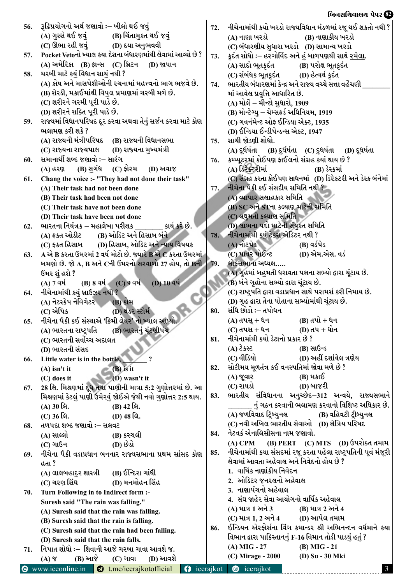# <u>બિનસચિવાલય પેપર છે?</u>

| 56. | રૂઢિપ્રયોગનો અર્થ જણાવો :– ખીલો થઈ જવું                                                                      | 72.       | નીચેનામાંથી કયો ખરડો રાજ્યવિધાન મંડળમાં રજૂ થઈ શકતો નથી ?          |
|-----|--------------------------------------------------------------------------------------------------------------|-----------|--------------------------------------------------------------------|
|     | (A) ગુસ્સે થઈ જવું (B) ચિંતામુક્ત થઈ જવું                                                                    |           | (A) નાણા ખરડો<br>(B) નાણાકીય ખરડો                                  |
|     | (C) ઊભા રહી જવું (D) દયા અનુભવવી                                                                             |           | (C) બંધારણીય સુધારા ખરડો (D) સામાન્ય ખરડો                          |
| 57. | Pocket Vetoનો ખ્યાલ કયા દેશના બંધારણમાંથી લેવામાં આવ્યો છે ?                                                 | 73.       | ફ્રદંત શોધો ઃ– હરગોવિંદ અને હું બાળપણથી સાથે <u>રમેલા</u> .        |
|     | (A) અમેરિકા (B) ફ્રાન્સ (C) બ્રિટન (D) જાપાન                                                                 |           | (B) પરોક્ષ ભૂતક્રદંત<br>(A) સાદો ભૂતક્રદંત                         |
| 58. | ચરબી માટે કયું વિધાન સાચું નથી ?                                                                             |           | (C) સંબંધક ભૂતક્રદંત (D) હેત્વર્થ ક્રદંત                           |
|     | (A) કોષ અને માસપેશીઓની રચનામાં મહત્ત્વનો ભાગ ભજવે છે.                                                        | 74.       | ભારતીય બંધારણમાં કેન્દ્ર અને રાજ્ય વચ્ચે સત્તા વહેંચણી             |
|     | (B) શેરડી, મકાઈમાંથી વિપુલ પ્રમાણમાં ચરબી મળે છે.                                                            |           | માં આવેલ પ્રવૃત્તિ આધારિત છે.                                      |
|     | (C) શરીરને ગરમી પૂરી પાડે છે.                                                                                |           | (A) મોર્લે – મીન્ટો સુધારો, 1909                                   |
|     | (D) શરીરને શક્તિ પૂરી પાડે છે.                                                                               |           | (B) મોન્ટેગ્યુ – ચેમ્સફર્ડ અધિનિયમ, 1919                           |
| 59. | રાજ્યમાં વિધાનપરિષદ દૂર કરવા અથવા તેનું સર્જન કરવા માટે કોણ                                                  |           | (C) ગવર્નમેન્ટ ઓફ ઈન્ડિયા એક્ટ, 1935                               |
|     | ભલામણ કરી શકે ?                                                                                              |           | (D) ઈન્ડિયા ઈન્ડીપેન્ડન્સ એક્ટ, 1947                               |
|     | (A) રાજ્યની મંત્રીપરિષદ (B) રાજ્યની વિધાનસભા                                                                 | 75.       | સાચી જોડણી શોધો.                                                   |
|     | (C) રાજ્યના રાજ્યપાલ (D) રાજ્યના મુખ્યમંત્રી                                                                 |           | (A) દૂર્ધર્ષતા (B) દુર્ધર્ષતા (C) દુધર્ષતા (D) દૂધર્ષતા            |
| 60. | સમાનાર્થી શબ્દ જણાવો :– સારંગ                                                                                | 76.       | કમ્પ્યૂટરમાં કોઈપણ ફાઈલનો સંગ્રહ કયાં થાય છે ?                     |
|     | (B) સુગંધ (C) ફોરમ (D) અવાજ<br>(A) હરણ                                                                       |           | (A) ડિરેક્ટરીમાં<br>(B) ડેસ્કમાં                                   |
| 61. | Chang the voice :- "They had not done their task"                                                            |           | (C) સંગ્રહ કરતા કોઈપણ સાધનમાં (D) ડિરેકટરી અને ડેસ્ક બંનેમાં       |
|     | (A) Their task had not been done                                                                             | 77.       | નીચેના પૈકી કઈ સંસદીય સમિતિ નથી ?                                  |
|     | (B) Their task had been not done                                                                             |           | (A) વ્યાપાર સલાહકાર સમિતિ                                          |
|     | (C) Their task have not been done                                                                            |           | (B) SC અને STના કલ્યાણ માટેની સમિતિ                                |
|     | (D) Their task have been not done                                                                            |           | (C) લઘુમતી કલ્યાણ સમિતિ                                            |
| 62. | કાર્ય કરે છે.<br>ભારતના નિયંત્રક – મહાલેખા પરીક્ષક                                                           |           | (D) લાભના પદો માટેની સંયુક્ત સમિતિ                                 |
|     | (A) ફક્ત ઓડીટ (B) ઓડિટ અને હિસાબ બંને                                                                        | 78.       | નીચેનામાંથી કયું ટેકસ એડિટર નથી ?                                  |
|     | (C) ફક્ત હિસાબ (D) હિસાબ, ઓડિટ અને ન્યાય વિષયક                                                               |           | $(A)$ નોટપેડ<br>(B) વર્ડપેડ                                        |
| 63. | A એ B કરતા ઉમરમાં 2 વર્ષ મોટો છે. જ્યારે B એ C કરતા ઉમરમાં                                                   |           | (C) પાવર પોઈન્ટ<br>(D) એમ.એસ. વર્ડ                                 |
|     | બમણો છે. જો $\mathbf{A}, \mathbf{B}$ અને $\mathbf{C}$ ની ઉંમરનો સરવાળો 27 હોય, તો $\mathbf{B}$ ની $\mid$ 79. |           | લોકસભાના અધ્યક્ષ…                                                  |
|     | ઉંમર શું હશે ?                                                                                               |           | (A) ગૃહમાં બહુમતી ધરાવતા પક્ષના સભ્યો દ્વારા ચૂંટાય છે.            |
|     | (A) $7$ qv( B) $8$ qv( C) $9$ qv( D) $10$ qv                                                                 |           | (B) બંને ગૃહોના સભ્યો દ્વારા ચૂંટાય છે.                            |
| 64. | નીચેનામાંથી કયું બ્રાઉઝર નથી ?                                                                               |           | (C) રાષ્ટ્રપતિ દ્વારા વડાપ્રધાન સાથે પરામર્શ કરી નિમાય છે.         |
|     | (A) નેટસ્કેપ નેવિગેટર (B) કોમ                                                                                |           | (D) ગૃહ દ્વારા તેના પોતાના સભ્યોમાંથી ચૂંટાય છે.                   |
|     | (D) થંડર સ્ટોર્મ<br>(C) એપિક                                                                                 | 80.       | સંધિ છોડો :– તપોધન                                                 |
| 65. | નીચેના પૈકી કઈ સંસ્થાએ 'ક્રિમી લેયર' નો ખ્યાલ આપ્યો.                                                         |           | (B) તપો + ધન<br>(A) તપસ્ + ધન                                      |
|     | (A) ભારતના રાષ્ટ્રપતિ (B) ભારતનું ચૂંટણીપંચ                                                                  |           | (D) તપ + ધોન<br>(C) તપસ + ધન<br>નીચેનામાંથી કયો ડેટાનો પ્રકાર છે ? |
|     | (C) ભારતની સર્વોચ્ચ અદાલત                                                                                    | 81.       |                                                                    |
|     | (D) ભારતની સંસદ                                                                                              |           | $552$ (A)<br>(B) સાઉન્ડ<br>(C) વીડિયો<br>(D) અહીં દર્શાવેલ ત્રણેય  |
| 66. | Little water is in the bottle,                                                                               | 82.       | સોટીમય મૂળતંત્ર કઈ વનસ્પતિમાં જોવા મળે છે ?                        |
|     | $(A)$ isn't it<br>$(B)$ is it                                                                                |           | (B) મકાઈ<br>(A) જૂવાર                                              |
|     | $(C)$ does it<br>$(D)$ wasn't it                                                                             |           | (C) રાયડો<br>(D) બાજરી                                             |
| 67. | 28 લિ. મિશ્રણમાં દૂધ તથા પાણીની માત્રા 5:2 ગુણોત્તરમાં છે. આ                                                 | 83.       | ભારતીય સંવિધાનના અનુચ્છેદ–312 અન્વયે, રાજ્યસભાને                   |
|     | મિશ્રણમાં કેટલું પાણી ઉમેરવું જોઈએ જેથી નવો ગુણોત્તર 2:5 થાય.                                                |           | નું ગઠન કરવાની ભલામણ કરવાનો વિશિષ્ટ અધિકાર છે.                     |
|     | (A) 30 લિ.<br>(B) 42 લિ.<br>(C) 36 લિ.<br>(D) 48 લિ.                                                         |           | (A) જળવિવાદ ટ્રિબ્યુનલ<br>(B) વહિવટી ટ્રીબ્યુનલ                    |
|     | તળપદા શબ્દ જણાવો ઃ– સલવટ                                                                                     |           | (C) નવી અખિલ ભારતીય સેવાઓ (D) ક્ષેત્રિય પરિષદ                      |
| 68. | (A) સાલ્લો<br>(B) કરચલી                                                                                      | 84.       | નેટવર્ક એનાલિસીસના નામ જણાવો.                                      |
|     | (D) છેડો<br>(C) ગાઉન                                                                                         |           | (B) PERT (C) MTS (D) ઉપરોક્ત તમામ<br>$(A)$ CPM                     |
| 69. | નીચેના પૈકી વડાપ્રધાન બનનાર રાજ્યસભાના પ્રથમ સાંસદ કોણ                                                       | 85.       | નીચેનામાંથી કયા સંસદમાં રજૂ કરતા પહેલા રાષ્ટ્રપતિની પૂર્વ મંજૂરી   |
|     | હતા ?                                                                                                        |           | લેવામાં આવતા અહેવાલ અને નિવેદનો હોય છે ?                           |
|     | (B) ઈન્દિરા ગાંધી<br>(A) લાલબહાદુર શાસ્ત્રી                                                                  |           | 1.  વાર્ષિક નાણાંકીય નિવેદન                                        |
|     | (D) મનમોહન સિંહ<br>(C) ચરણ સિંઘ                                                                              |           | 2.  ઓડિટર જનરલનો અહેવાલ                                            |
| 70. | Turn Following in to Indirect form :-                                                                        |           | 3.  નાણાપંચનો અહેવાલ                                               |
|     | Suresh said "The rain was falling."                                                                          |           | 4.  સંઘ જાહેર સેવા આયોગનો વાર્ષિક અહેવાલ                           |
|     | (A) Suresh said that the rain was falling.                                                                   |           | (A) માત્ર 1 અને 3<br>(B) માત્ર 2 અને 4                             |
|     | (B) Suresh said that the rain is falling.                                                                    |           | $(C)$ માત્ર 1, 2 અને 4 $(D)$ આપેલ તમામ                             |
|     | (C) Suresh said that the rain had been falling.                                                              | 86.       | ઈન્ડિયન એરફોર્સના વિંગ કમાન્ડર શ્રી અભિનન્દન વર્ધમાને કયા          |
|     | (D) Suresh said that the rain falls.                                                                         |           | વિભાન દ્વારા પાકિસ્તાનનું F-16 વિમાન તોડી પાડયું હતું ?            |
| 71. | નિપાત શોધો :– શિવાની આજે ગરબા ગાવા આવશે જ.                                                                   |           | $(A)$ MIG - 27<br>$(B)$ MIG - 21                                   |
|     | (B) આજે<br>(D) આવશે<br>$(C)$ ગાવા<br>$(A)$ $\gamma$                                                          |           | (C) Mirage - 2000<br>(D) Su - 30 Mki                               |
| Θ   | www.iceonline.in <b>a</b> t.me/icerajkotofficial<br>Q                                                        | icerajkot | icerajkot<br>$\bullet$<br>$\mathbf{3}$                             |
|     |                                                                                                              |           |                                                                    |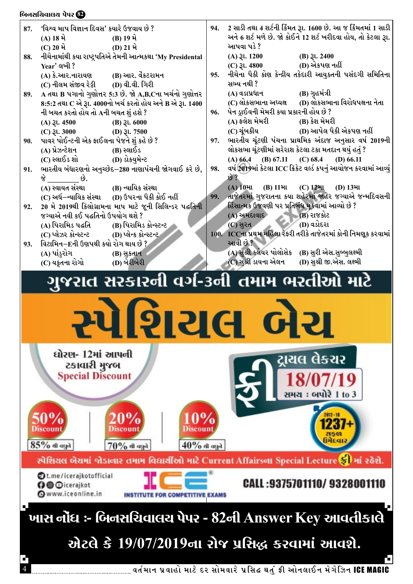#### બિનસચિવાલચ પેપર **છે**